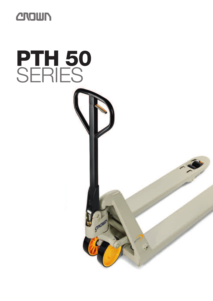

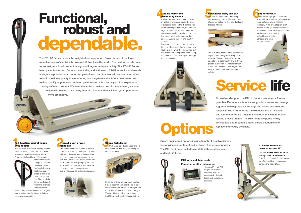**The PTH 50 Series carries the weight of our reputation. Crown is one of the largest manufacturers of electrically powered lift trucks in the world. Our customers rely on us for robust, functional product design and long-term dependability. The PTH 50 Series hand pallet trucks also feature these traits, and with over 1.5 Million trucks sold worldwide, our reputation is an important part of each unit that we sell. We are determined to build the finest quality trucks offering real long-term value to our customers. We realise that if you purchase our hand pallet trucks, this may be your first experience using a Crown product. We want this to be a positive one. For this reason, we have designed into each truck many standard features that will help your operator be more productive.**

## **CNOWN**

# **2**<br>**2**<br>2006 **Hydraulic unit proven reliability**

# **Functional, robust and dependable.**

One of the most critical parts of a hand pallet truck is the hydraulic pump. It must withstand thousands of lift/lower cycles. and yet be easy and inexpensive to repair. The Crown PTH 50 is life tested to a minimum of 600,000 pump cycles. The enclosed lift pump means that there are no exposed parts such as valves or levers, which can be broken or damaged.



## **1Full-function control handle with neutral**



The exit ramp, riser and the exit roller are engineered for long life and impact resistance. The combined effect for the operator is excellent entry and exit from pallets, even when the pallet is empty. A low 75 mm lowered fork height allows easy access to difficult or damaged

A few strokes of the large steering handle provides a full 127 mm of lift. A convenient control lever has three positions: Raise, Neutral and Lower. The neutral



# **1 Burable frame and articulating wheels**<br>A robust, cross-braced frame provides<br>A robust, cross-braced frame provides<br>bracket design for the PTH entry roller bine **Durable frame and articulating wheels**

position eliminates backpressure from the pump, allowing the handle to move freely. Lowering speed is controlled at all load capacities. The handle is spring loaded and returns to a vertical position when re-

leased. The handle thickness and angled shape is designed for the most fatigue free operating position.

**Crown has designed the PTH to be as maintenance free as possible. Features such as a strong, robust frame and linkage together with high quality forgings and welds ensure better longevity. The PTH features the extensive use of "sealed and lubricated for life" bushings and bearings where others feature grease fittings. The PTH hydraulic pump is fully serviceable and repairable. Each part is economical to replace and readily available.**

**Easy pallet entry and exit** The fork tip and tapered mounting bracket design for the PTH entry roller affords protection for the roller itself and

**East**<br>The<br>brace

the load wheels.

pallets.





**3Strong fork design** The C-channel fork design uses formed steel members with steel reinforcing at key stress areas.



Evidence of Crown's emphasis on reliability is apparent with the choice of boxsection pushrods which are stronger and more durable than other pushrod designs. The proof is the full load capacity of 2300 kg with all fork lengths up to 2 m.

A robust, cross-braced frame provides unrivalled strength and durability. Steel forgings are used on the lift linkage. For easier handling and control, the PTH has large 180 mm steer wheels. Steer and load wheels use high quality compounds that lower rolling resistance, provide long life, and are smooth and quiet in operation.

To ensure continuous contact with the floor, the wheels articulate to ensure you never have the weight of the load on just one wheel. Hubcaps protect the bearing and steer axle from side impact damage and contamination.





bined with extra weld length and additional stiffening where necessary, especially in the area of apron pivot bosses. Thorough preparation of the assemblies before receiving a powder paint process ensures the highest levels of paint adhesion and longterm protection.

## **PTH with manual or powered scissor lift**

Use it as **a hand pallet lift truck, storage table or workbench.** The PTH 50 S and PS save operator effort, avoiding unnecessary



The new PTH 50 WS weighs with extreme accuracy even with unevenly distributed

**Crown engineered options include handbrake, galvanisation wet application treatment and a choice of wheel compounds. The PTH family also includes models with weighing scale and high-lift forks.**